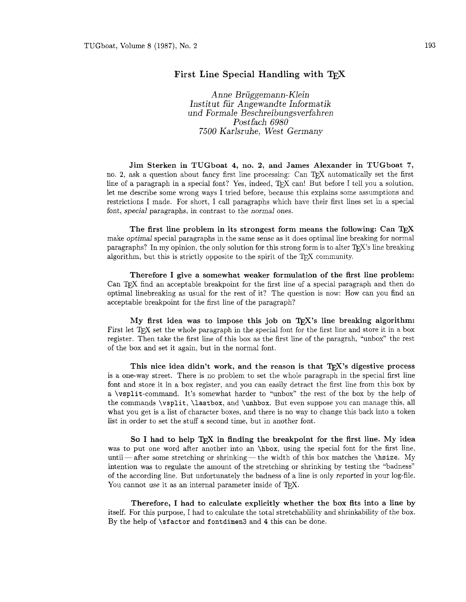## First Line Special Handling with TFX

*Anne Briiggemann- Klein Institut für Angewandte Informatik und Formale Beschrei bungsverfahren Pos tfach 6980 7500 Karlsruhe, West Germany* 

Jim Sterken in TUGboat 4, no. 2, and James Alexander in TUGboat **7,**  no. 2, ask a question about fancy first line processing: Can T<sub>F</sub>X automatically set the first line of a paragraph in a special font? Yes, indeed,  $T_F X$  can! But before I tell you a solution, let me describe some wrong ways I tried before, because this explains some assumptions and restrictions I made. For short, I call paragraphs which have their first lines set in a special font, special paragraphs, in contrast to the normal ones.

The first line problem in its strongest form means the following: Can  $T_F X$ make optimal special paragraphs in the same sense as it does optimal line breaking for normal paragraphs? In my opinion, the only solution for this strong form is to alter  $T_F X$ 's line breaking algorithm, but this is strictly opposite to the spirit of the  $T_{\rm F}X$  community.

Therefore I give a somewhat weaker formulation of the first line problem: Can find an acceptable breakpoint for the first line af a special paragraph and then do optimal linebreaking as usual for the rest of it? The question is now: How can you find an acceptable breakpoint for the first line of the paragraph?

My first idea was to impose this job on  $T_F X$ 's line breaking algorithm: First let T<sub>F</sub>X set the whole paragraph in the special font for the first line and store it in a box register. Then take the first line of this box as the first line of the paragrah, "unbox" the rest of the box and set it again, but in the normal font.

This nice idea didn't work, and the reason is that  $T_{\rm F}X$ 's digestive process is a one-way street. There is no problem to set the whole paragraph in the special first line font and store it in a box register, and you can easily detract the first line from this box by a \vsplit-command. It's somewhat harder to "unbox" the rest of the box by the help of the commands \vsplit, \lastbox, and \unhbox. But even suppose you can manage this, all what you get is a list of character boxes, and there is no way to change this back into a token list in order to set the stuff a second time, but in another font.

So I had to help  $T_F X$  in finding the breakpoint for the first line. My idea was to put one word after another into an \hbox, using the special font for the first line, so I had to help IEX in finding the breakpoint for the first line, My idea<br>was to put one word after another into an  $\hbar$ x, using the special font for the first line,<br>until—after some stretching or shrinking—the width of intention was to regulate the amount of the stretching or shrinking by testing the "badness" of the according line. But unfortunately the badness of a line is only reported in your log-file. You cannot use it as an internal parameter inside of TEX.

Therefore, I had to calculate explicitly whether the box fits into a line by itself. For this purpose, I had to calculate the total stretchablility and shrinkability of the box. By the help of \sfactor and fontdimen3 and 4 this can be done.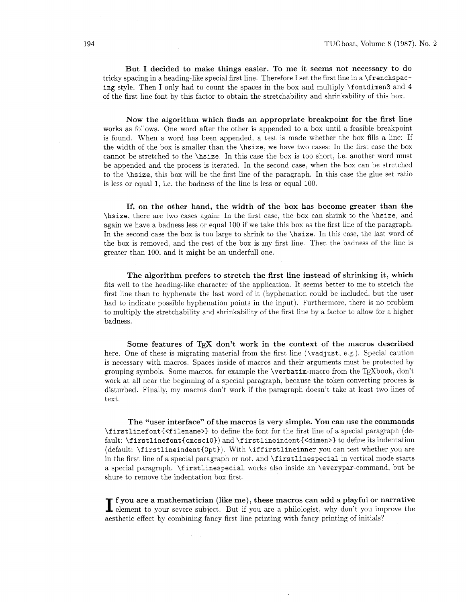But I decided to make things easier. To me it seems not necessary to do tricky spacing in a heading-like special first line. Therefore I set the first line in a \f renchspacing style. Then I only had to count the spaces in the box and multiply \fontdimen3 and 4 of the first line font by this factor to obtain the stretchability and shrinkability of this box.

Now the algorithm which finds an appropriate breakpoint for the first line works as follows. One word after the other is appended to a box until a feasible breakpoint is found. When a word has been appended, a test is made whether the box fills a line: If the width of the box is smaller than the \hsize, we have two cases: In the first case the box cannot be stretched to the \hsize. In this case the box is too short, i.e. another word must be appended and the process is iterated. In the second case, when the box can be stretched to the \hsize, this box will be the first line of the paragraph. In this case the glue set ratio is less or equal 1, i.e. the badness of the line is less or equal 100.

If, on the other hand, the width of the box has become greater than the \hsize, there are two cases again: In the first case, the box can shrink to the \hsize, and again we have a badness less or equal 100 if we take this box as the first line of the paragraph. In the second case the box is too large to shrink to the \hsize. In this case, the last word of the box is removed, and the rest of the box is my first line. Then the badness of the line is greater than 100, and it might be an underfull one.

The algorithm prefers to stretch the first line instead of shrinking it, which fits well to the heading-like character of the application. It seems better to me to stretch the first line than to hyphenate the last word of it (hyphenation could be included, but the user had to indicate possible hyphenation points in the input). Furthermore. there is no problem to multiply the stretchability and shrinkability of the first line by a factor to allow for a higher badness.

Some features of T<sub>F</sub>X don't work in the context of the macros described here. One of these is migrating material from the first line (\vadjust, e.g.). Special caution is necessary with macros. Spaces inside of macros and their arguments must be protected by grouping symbols. Some macros, for example the  $\verb|\verbatin-macc|$  from the TFXbook, don't work at all near the beginning of a special paragraph, because the token converting process is disturbed. Finally, my macros don't work if the paragraph doesn't take at least two lines of text.

The "user interface" of the macros is very simple. You can use the commands  $\frac{\frac{1}{1} \cdot \frac{1}{1} \cdot \frac{1}{1} \cdot \frac{1}{1}}{1 - \frac{1}{1} \cdot \frac{1}{1}}$  to define the font for the first line of a special paragraph (default: \firstlinefont{cmcsc10}) and \firstlineindent{<dimen>} to define its indentation (default: \f irstlineindent{Opt)). With \iff irstlineinner you can test whether you are in the first line of a special paragraph or not. and \f irstlinespecial in vertical mode starts a special paragraph. \first linespecial works also inside an \everypar-command. but be shure to remove the indentation box first.

I **I** fyou are a mathematician (like me), these macros can add a playful or narrative element to your severe subject. But if you are a philologist, why don't you improve the aesthetic effect by combining fancy first line printing with fancy printing of initials?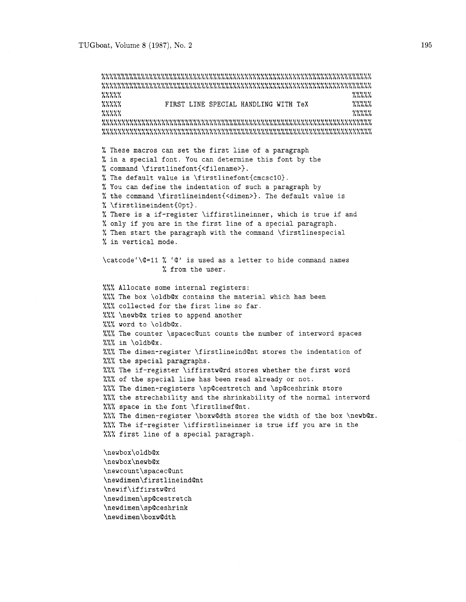**OODOD** LLLLL **<sup>0</sup>e 0 0** *<sup>0</sup>*LLLLL **P.O.O. PLOGO** FIRST LINE SPECIAL HANDLING WITH TeX **WAY. 00~00** LLLLL **oooeo** LLLLL **0000a00000000000000000000000000000000000000~~000~00000000~000000~000** LLLLLLLLLLLLLLLLLLLLLLLLLLLLLLLLLLLLLLLLLLLLLLLLLLLLLLLLLLLLLLLLLLLL % These macros can set the first line of a paragraph % in a special font. You can determine this font by the % command **\firstlinefont{<filename>).**  % The default value is \firstlinefont{cmcsc10}. % You can define the indentation of such a paragraph by % the command **\firstlineindent{<dimen>).** The default value is % \firstlineindent{Opt}. % There is a if-register \iffirstlineinner, which is true if and % only if you are in the first line of a special paragraph. % Then start the paragraph with the command \firstlinespecial % in vertical mode. \catcode'\Q=ll % 'a' is used as a letter to hide command names % from the user. %%% Allocate some internal registers: %%% The box \oldb@x contains the material which has been **W.W.** collected for the first line so far. **XXX** \newb©x tries to append another %%% word to \oldb@x. %%% The counter \spacec@unt counts the number of interword spaces %%% in \oldb@x. %%% The dimen-register \firstlineind@nt stores the indentation of %%% the special paragraphs. %%% The if-register \iffirstw@rd stores whether the first word %%% of the special line has been read already or not. %%% The dimen-registers \sp@cestretch and \sp@ceshrink store %%% the strechability and the shrinkability of the normal interword **WW** space in the font \firstlinef@nt. **%%%** The dimen-register \boxw@dth stores the width of the box \newb@x. %%% The if-register \iffirstlineinner is true iff you are in the %%% first line of a special paragraph. \newbox\oldb@x \newbox\newb@x \newcount\spacec@unt \newdimen\firstlineind@nt \newif\iffirstw@rd \newdimen\sp@cestretch

\newdimen\sp@ceshrink

\newdimen\boxw@dth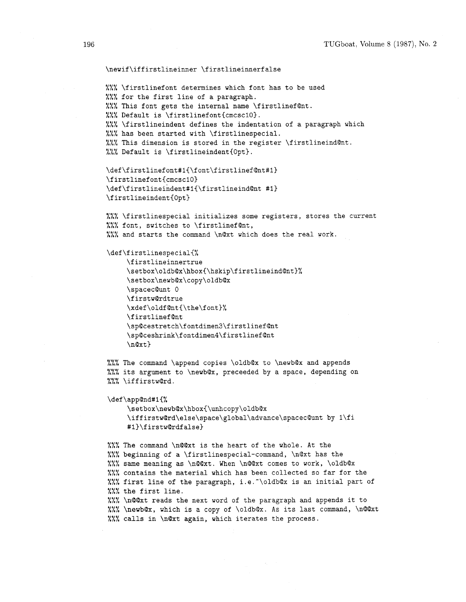```
\newif\iffirstlineinner \firstlineinnerfalse
%% \firstlinefont determines which font has to be used
%% for the first line of a paragraph.
%%% This font gets the internal name \firstlinefQnt.
%%% Default is \firstlinefont{cmcsc10}.
00s Lh/, \firstlineindent defines the indentation of a paragraph which 
%%% has been started with \firstlinespecial.
%%% This dimension is stored in the register \firstlineind@nt.
%%% Default is \firstlineindent{Opt}.
\def\firstlinefont#1{\font\firstlinef@nt#1}
\firstlinefont{cmcsc10}
\def\firstlineindent#1{\firstlineind@nt #1}
\firstlineindent{0pt}
1.7. Tirstlinespecial initializes some registers, stores the current
%%% font, switches to \firstlinefQnt,
%%% and starts the command \n@xt which does the real work. 
\def\firstlinespecial{%
     \firstlineinnertrue
     \setbox\oldb@x\hbox{\hskip\firstlineind@nt}%
     \setbox\newb@x\copy\oldb@x
     \spacec@unt 0
     \firstw@rdtrue
     \xdef\oldf@nt{\the\font}%
     \firstlinef@nt
     \sp@cestretch\fontdimen3\firstlinef@nt
     \sp@ceshrink\fontdimen4\firstlinef@nt
     \n\anglenQxt}
%%% The command \append copies \oldbQx to \newbQx and appends
%%% its argument to \newb@x, preceeded by a space, depending on
%%%\iffirstw@rd.
\def\app@nd#1{%
     \setbox\newb@x\hbox{\unhcopy\oldb@x
```
\iffirstw@rd\else\space\global\advance\spacec@unt by 1\fi #1}\firstw@rdfalse}

%%% The command \n@@xt is the heart of the whole. At the %%% beginning of a \firstlinespecial-command, \n@xt has the %%% same meaning as \nQQxt. When \nQQxt comes to work, \oldbQx %%% contains the material which has been collected so far for the **<sup>11</sup>***<sup>0</sup>*/./,A first line of the paragraph, i.e.-\oldbQx is an initial part of %%% the first line. %%% \nQQxt reads the next word of the paragraph and appends it to **80.** A/,/, \newb@x, which is a copy of \oldb@x. As its last command, \nQ@xt %%% calls in \n@xt again, which iterates the process.